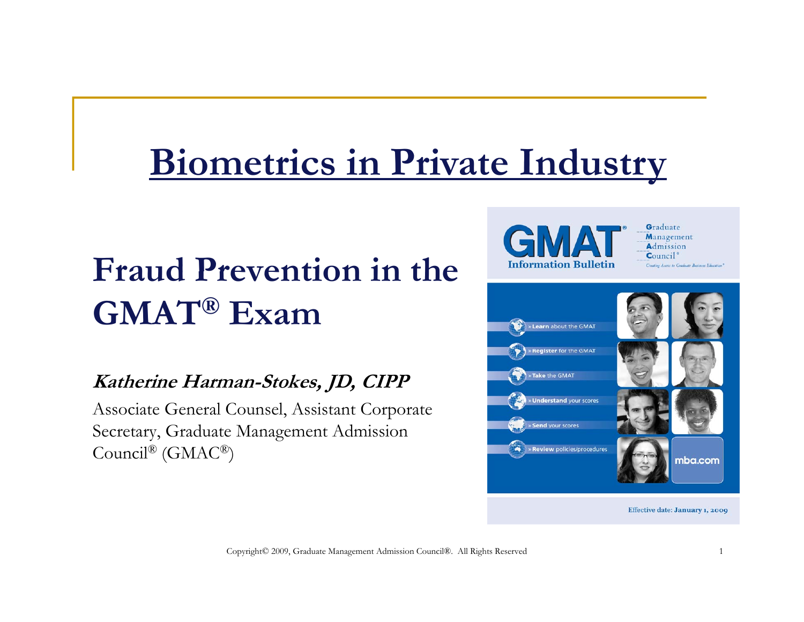## **Biometrics in Private Industry**

## **Fraud Prevention in the GMAT® Exam**

#### **Katherine Harman-Stokes, JD, CIPP**

Associate General Counsel, Assistant Corporate Secretary, Graduate Management Admission  $\operatorname{Council}^{\scriptsize\textcircled{\tiny{\rm B}}}\left(\operatorname{GMAC}^{\scriptsize\textcircled{\tiny\rm B}}\right)$ 





Effective date: January 1, 2009

Copyright© 2009, Graduate Management Admission Council®. All Rights Reserved <sup>1</sup>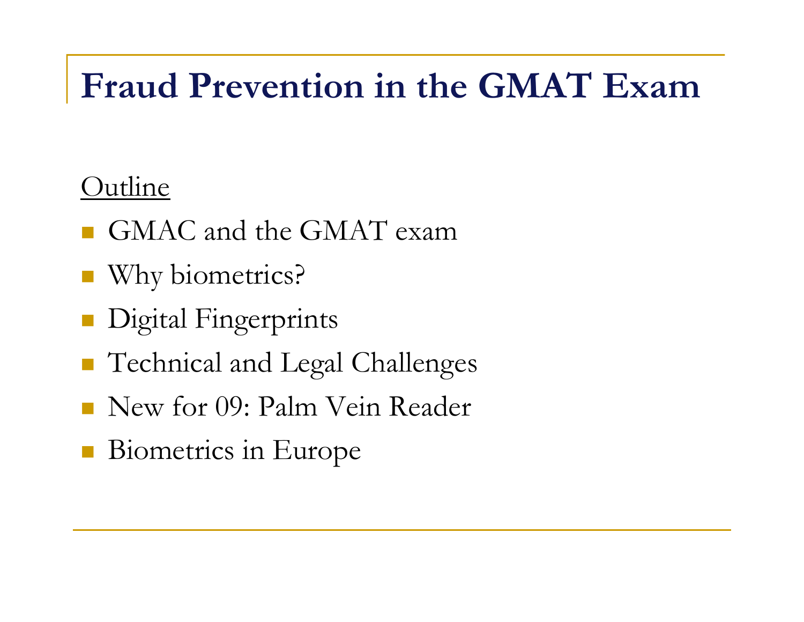### **Fraud Prevention in the GMAT Exam**

#### Outline

- GMAC and the GMAT exam
- **u** Why biometrics?
- **Digital Fingerprints**
- **Technical and Legal Challenges**
- New for 09: Palm Vein Reader
- **Biometrics in Europe**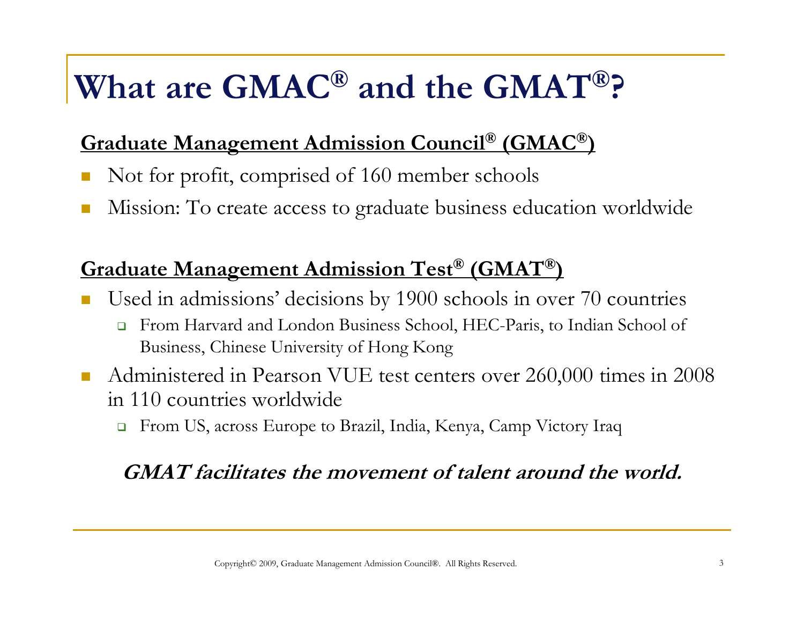### **What are GMAC® and the GMAT®?**

#### **Graduate Management Admission Council® (GMAC®)**

- Not for profit, comprised of 160 member schools
- Π Mission: To create access to graduate business education worldwide

#### **Graduate Management Admission Test® (GMAT® Test (GMAT )**

- Used in admissions' decisions by 1900 schools in over 70 countries
	- $\Box$  From Harvard and London Business School, HEC-Paris, to Indian School of Business, Chinese University of Hong Kong
- $\mathcal{L}_{\mathcal{A}}$  Administered in Pearson VUE test centers over 260,000 times in 2008 in 110 countries worldwide
	- □ From US, across Europe to Brazil, India, Kenya, Camp Victory Iraq

#### **GMAT facilitates the movement of talent around the world.**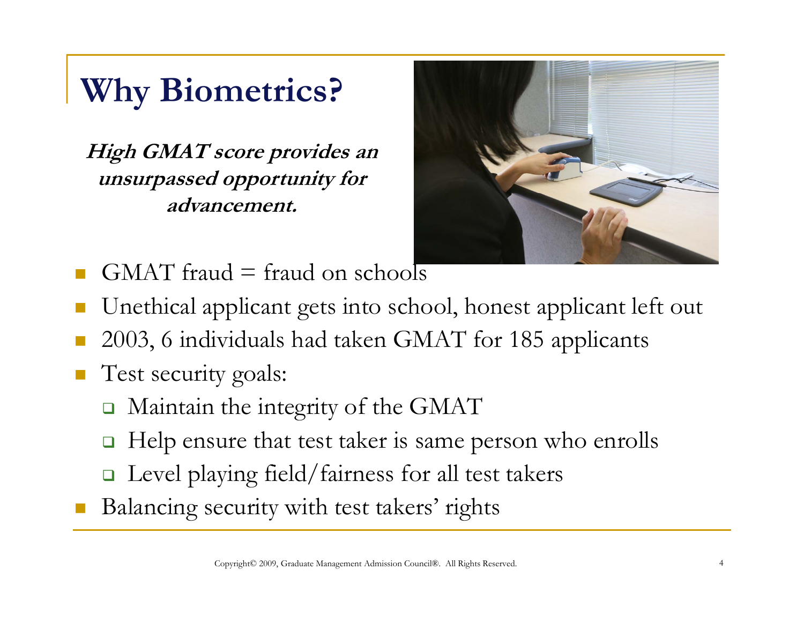## **Why Biometrics?**

**High GMAT score provides an unsurpassed opportunity for advancement.**



- $GMAT$  fraud = fraud on schools
- Unethical applicant gets into school, honest applicant left out
- 2003, 6 individuals had taken GMAT for 185 applicants
- Test security goals:
	- $\Box$ Maintain the integrity of the GMAT
	- $\Box$ Help ensure that test taker is same person who enrolls
	- Level playing field/fairness for all test takers
- Balancing security with test takers' rights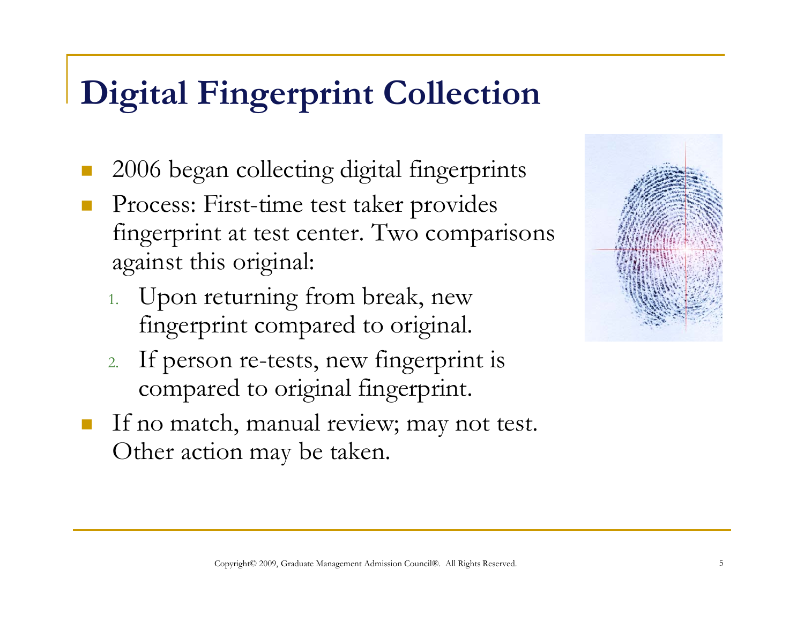### **Digital Fingerprint Collection**

- $\mathbb{R}^3$ 2006 began collecting digital fingerprints
- $\mathbb{R}^3$ **Process: First-time test taker provides** fingerprint at test center. Two comparisons against this original:
	- 1. Upon returning from break, new fingerprint compared to original.
	- 2. If person re-tests, new fingerprint is compared to original fingerprint.
- $\mathbb{R}^3$ If no match, manual review; may not test. Other action may be taken.

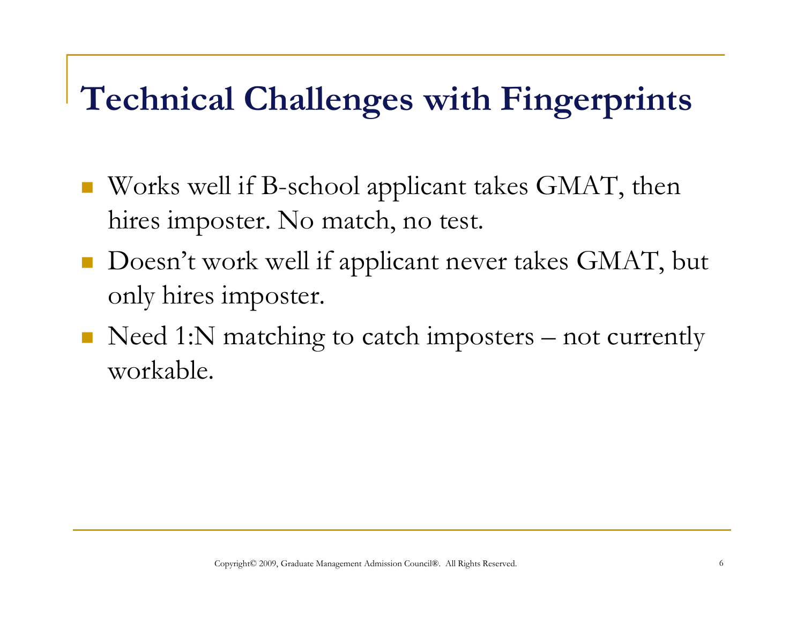### **Technical Challen g gp es with Fin gerprints**

- $\mathcal{L}^{\text{max}}_{\text{max}}$  $\blacksquare$  Works well if B-school applicant takes GMAT, then hires imposter. No match, no test.
- Doesn't work well if applicant never takes GMAT, but only hires imposter.
- lacktrianglerigie Need 1:N matching to catch imposters not currently workable.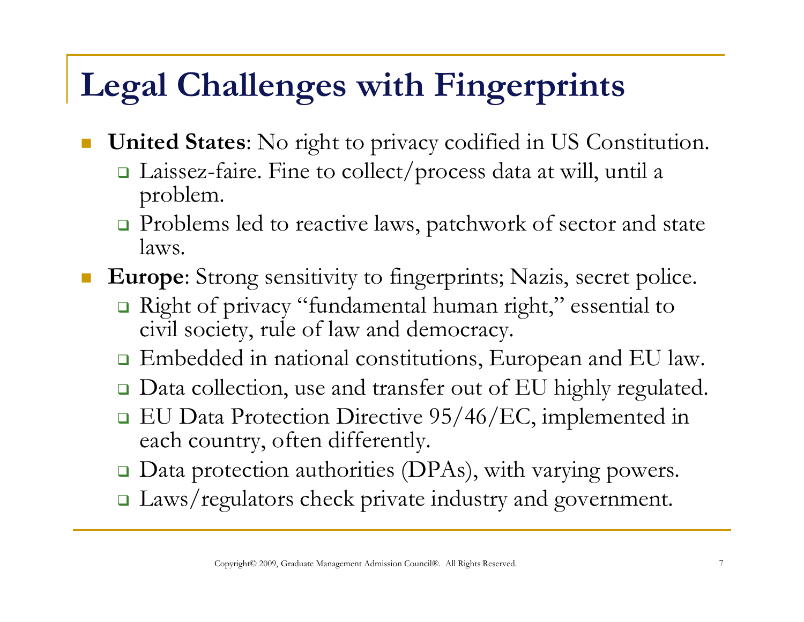### **Legal Challenges with Fingerprints**

- **United States**: No right to privacy codified in US Constitution.
	- Laissez-faire. Fine to collect/process data at will, until a problem.
	- **□** Problems led to reactive laws, patchwork of sector and state laws.
- П Europe: Strong sensitivity to fingerprints; Nazis, secret police.
	- Right of privacy "fundamental human right," essential to civil society, rule of law and democracy.
	- □ Embedded in national constitutions, European and EU law.
	- □ Data collection, use and transfer out of EU highly regulated.
	- EU Data Protection Directive 95/46/EC, implemented in each country, often differently.
	- $\Box$ Data protection authorities (DPAs), with varying powers.
	- I Laws/regulators check private industry and government.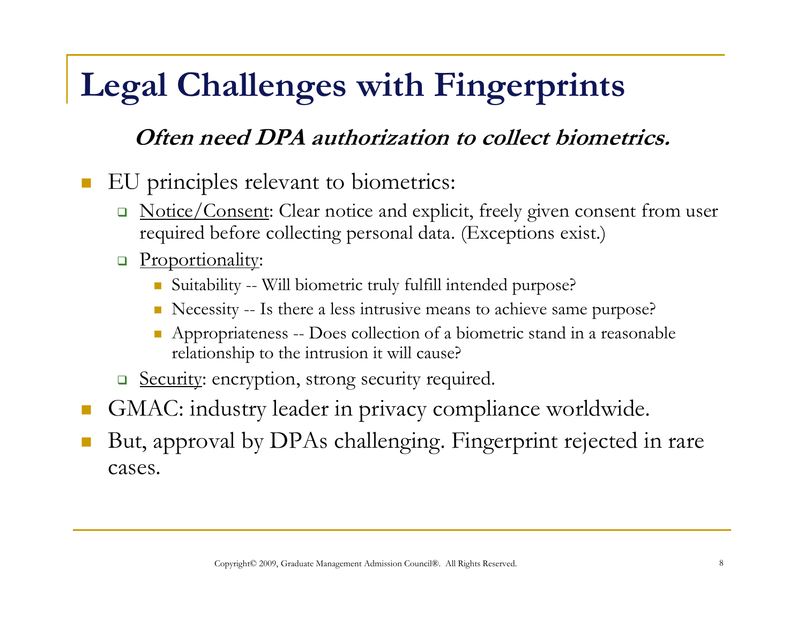## **Legal Challenges with Fingerprints**

#### **Often need DPA authorization to collect biometrics.**

П EU principles relevant to biometrics:

- □ Notice/Consent: Clear notice and explicit, freely given consent from user required before collecting personal data. (Exceptions exist.)
- **P**roportionality:
	- Suitability -- Will biometric truly fulfill intended purpose?
	- Necessity -- Is there a less intrusive means to achieve same purpose?
	- E Appropriateness -- Does collection of a biometric stand in a reasonable relationship to the intrusion it will cause?
- **B** Security: encryption, strong security required.
- GMAC: industry leader in privacy compliance worldwide.
- F But, approval by DPAs challenging. Fingerprint rejected in rare cases.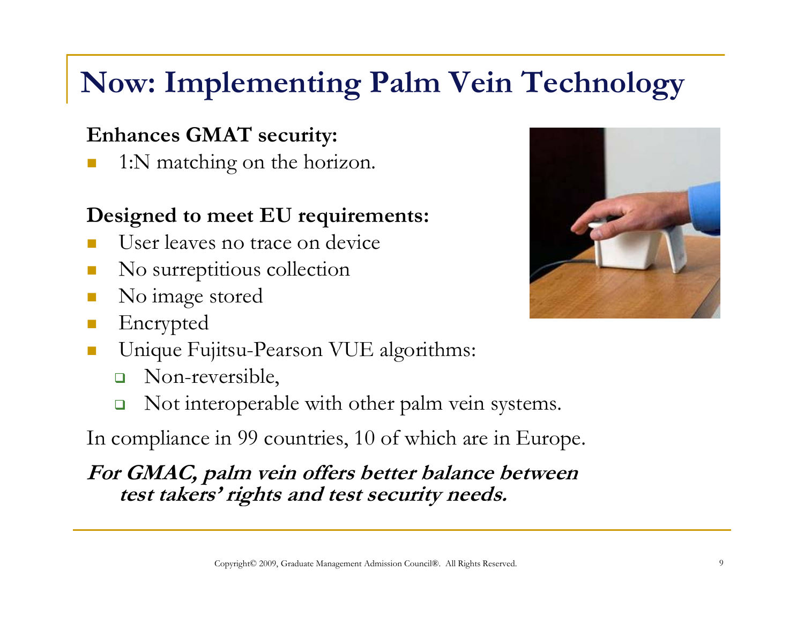### **Now: Implementing Palm Vein Technology**

#### **Enhances GMAT security:**

1:N matching on the horizon.

#### **Designed to meet EU requirements:**

- User leaves no trace on device
- П No surreptitious collection
- No image stored
- Encrypted
- $\mathcal{C}^{\mathcal{A}}$ **Unique Fujitsu-Pearson VUE algorithms:** 
	- $\Box$ Non-reversible,
	- $\Box$ Not interoperable with other palm vein systems.

In compliance in 99 countries, 10 of which are in Europe.

**For GMAC, palm vein offers better balance between test takers' rights and test security needs.**

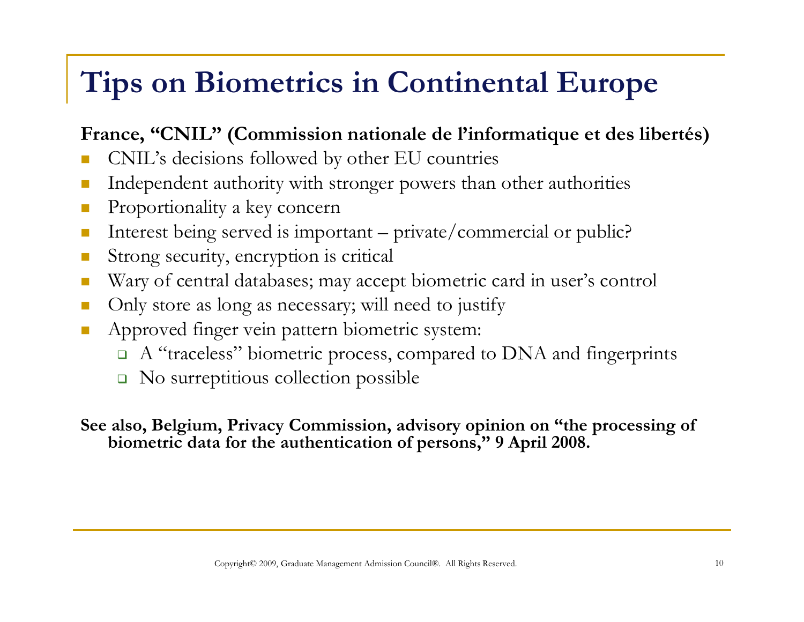### **Tips on Biometrics in Continental Europe**

#### **France, "CNIL" (Commission nationale de l'informatique et des libertés)**

- CNIL's decisions followed by other EU countries
- $\mathcal{C}^{\mathcal{A}}$ **Independent authority with stronger powers than other authorities**
- $\mathcal{C}^{\mathcal{A}}$ Proportionality a key concern
- $\mathbb{R}^3$ Interest being served is important – private/commercial or public?
- $\mathbb{R}^3$ Strong security, encryption is critical
- Wary of central databases; may accept biometric card in user's control
- $\mathbb{R}^2$ Only store as long as necessary; will need to justify
- $\mathcal{L}_{\mathcal{A}}$  Approved finger vein pattern biometric system:
	- $\Box$  A "traceless" biometric process, compared to DNA and fingerprints
	- No surreptitious collection possible

See also, Belgium, Privacy Commission, advisory opinion on "the processing of **biometric data for the authentication of persons," 9 April 2008.**